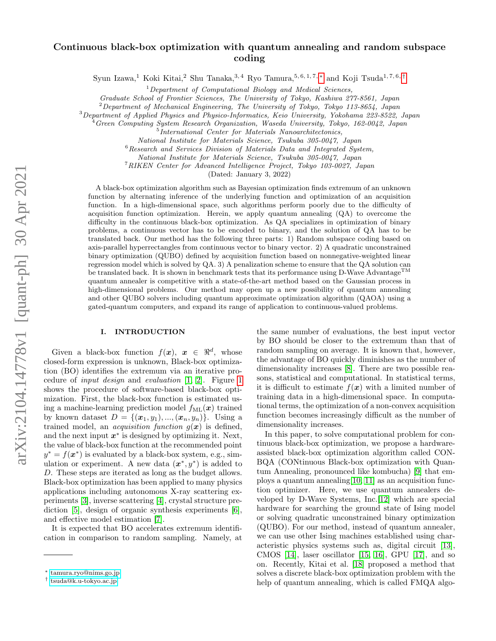# arXiv:2104.14778v1 [quant-ph] 30 Apr 2021 arXiv:2104.14778v1 [quant-ph] 30 Apr 2021

# Continuous black-box optimization with quantum annealing and random subspace coding

Syun Izawa,<sup>1</sup> Koki Kitai,<sup>2</sup> Shu Tanaka,<sup>3,4</sup> Ryo Tamura,<sup>5,6,1,7,\*</sup> and Koji Tsuda<sup>1,7,6,[†](#page-0-1)</sup>

 $1$ Department of Computational Biology and Medical Sciences,

Graduate School of Frontier Sciences, The University of Tokyo, Kashiwa 277-8561, Japan

 $2$ Department of Mechanical Engineering, The University of Tokyo, Tokyo 113-8654, Japan

<sup>3</sup>Department of Applied Physics and Physico-Informatics, Keio University, Yokohama 223-8522, Japan

<sup>4</sup> Green Computing System Research Organization, Waseda University, Tokyo, 162-0042, Japan

International Center for Materials Nanoarchitectonics,

National Institute for Materials Science, Tsukuba 305-0047, Japan

 $6$ Research and Services Division of Materials Data and Integrated System,

National Institute for Materials Science, Tsukuba 305-0047, Japan

<sup>7</sup>RIKEN Center for Advanced Intelligence Project, Tokyo 103-0027, Japan

(Dated: January 3, 2022)

A black-box optimization algorithm such as Bayesian optimization finds extremum of an unknown function by alternating inference of the underlying function and optimization of an acquisition function. In a high-dimensional space, such algorithms perform poorly due to the difficulty of acquisition function optimization. Herein, we apply quantum annealing (QA) to overcome the difficulty in the continuous black-box optimization. As QA specializes in optimization of binary problems, a continuous vector has to be encoded to binary, and the solution of QA has to be translated back. Our method has the following three parts: 1) Random subspace coding based on axis-parallel hyperrectangles from continuous vector to binary vector. 2) A quadratic unconstrained binary optimization (QUBO) defined by acquisition function based on nonnegative-weighted linear regression model which is solved by QA. 3) A penalization scheme to ensure that the QA solution can be translated back. It is shown in benchmark tests that its performance using D-Wave Advantage<sup>TM</sup> quantum annealer is competitive with a state-of-the-art method based on the Gaussian process in high-dimensional problems. Our method may open up a new possibility of quantum annealing and other QUBO solvers including quantum approximate optimization algorithm (QAOA) using a gated-quantum computers, and expand its range of application to continuous-valued problems.

# I. INTRODUCTION

Given a black-box function  $f(x)$ ,  $x \in \mathbb{R}^d$ , whose closed-form expression is unknown, Black-box optimization (BO) identifies the extremum via an iterative procedure of input design and evaluation [\[1,](#page-6-0) [2\]](#page-6-1). Figure [1](#page-1-0) shows the procedure of software-based black-box optimization. First, the black-box function is estimated using a machine-learning prediction model  $f_{ML}(\boldsymbol{x})$  trained by known dataset  $D = \{(\bm{x}_1, y_1), ..., (\bm{x}_n, y_n)\}.$  Using a trained model, an *acquisition function*  $g(x)$  is defined, and the next input  $x^*$  is designed by optimizing it. Next, the value of black-box function at the recommended point  $y^* = f(x^*)$  is evaluated by a black-box system, e.g., simulation or experiment. A new data  $(x^*, y^*)$  is added to D. These steps are iterated as long as the budget allows. Black-box optimization has been applied to many physics applications including autonomous X-ray scattering experiments [\[3\]](#page-6-2), inverse scattering [\[4\]](#page-6-3), crystal structure prediction [\[5\]](#page-6-4), design of organic synthesis experiments [\[6\]](#page-6-5), and effective model estimation [\[7\]](#page-6-6).

It is expected that BO accelerates extremum identification in comparison to random sampling. Namely, at

the same number of evaluations, the best input vector by BO should be closer to the extremum than that of random sampling on average. It is known that, however, the advantage of BO quickly diminishes as the number of dimensionality increases [\[8\]](#page-6-7). There are two possible reasons, statistical and computational. In statistical terms, it is difficult to estimate  $f(x)$  with a limited number of training data in a high-dimensional space. In computational terms, the optimization of a non-convex acquisition function becomes increasingly difficult as the number of dimensionality increases.

In this paper, to solve computational problem for continuous black-box optimization, we propose a hardwareassisted black-box optimization algorithm called CON-BQA (CONtinuous Black-box optimization with Quantum Annealing, pronounced like kombucha) [\[9\]](#page-6-8) that employs a quantum annealing  $[10, 11]$  $[10, 11]$  as an acquisition function optimizer. Here, we use quantum annealers developed by D-Wave Systems, Inc.[\[12\]](#page-6-11) which are special hardware for searching the ground state of Ising model or solving quadratic unconstrained binary optimization (QUBO). For our method, instead of quantum annealer, we can use other Ising machines established using characteristic physics systems such as, digital circuit [\[13\]](#page-6-12), CMOS [\[14\]](#page-6-13), laser oscillator [\[15,](#page-6-14) [16\]](#page-7-0), GPU [\[17\]](#page-7-1), and so on. Recently, Kitai et al. [\[18\]](#page-7-2) proposed a method that solves a discrete black-box optimization problem with the help of quantum annealing, which is called FMQA algo-

<span id="page-0-0"></span><sup>∗</sup> [tamura.ryo@nims.go.jp](mailto:tamura.ryo@nims.go.jp)

<span id="page-0-1"></span><sup>†</sup> [tsuda@k.u-tokyo.ac.jp](mailto:tsuda@k.u-tokyo.ac.jp)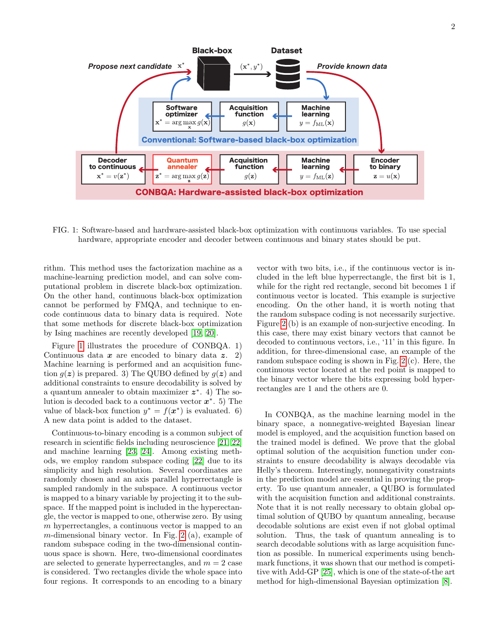<span id="page-1-0"></span>

FIG. 1: Software-based and hardware-assisted black-box optimization with continuous variables. To use special hardware, appropriate encoder and decoder between continuous and binary states should be put.

rithm. This method uses the factorization machine as a machine-learning prediction model, and can solve computational problem in discrete black-box optimization. On the other hand, continuous black-box optimization cannot be performed by FMQA, and technique to encode continuous data to binary data is required. Note that some methods for discrete black-box optimization by Ising machines are recently developed [\[19,](#page-7-3) [20\]](#page-7-4).

Figure [1](#page-1-0) illustrates the procedure of CONBQA. 1) Continuous data  $x$  are encoded to binary data  $z$ . 2) Machine learning is performed and an acquisition function  $q(z)$  is prepared. 3) The QUBO defined by  $q(z)$  and additional constraints to ensure decodability is solved by a quantum annealer to obtain maximizer  $z^*$ . 4) The solution is decoded back to a continuous vector  $x^*$ . 5) The value of black-box function  $y^* = f(x^*)$  is evaluated. 6) A new data point is added to the dataset.

Continuous-to-binary encoding is a common subject of research in scientific fields including neuroscience [\[21,](#page-7-5) [22\]](#page-7-6) and machine learning [\[23,](#page-7-7) [24\]](#page-7-8). Among existing methods, we employ random subspace coding [\[22\]](#page-7-6) due to its simplicity and high resolution. Several coordinates are randomly chosen and an axis parallel hyperrectangle is sampled randomly in the subspace. A continuous vector is mapped to a binary variable by projecting it to the subspace. If the mapped point is included in the hyperectangle, the vector is mapped to one, otherwise zero. By using m hyperrectangles, a continuous vector is mapped to an m-dimensional binary vector. In Fig. [2](#page-2-0) (a), example of random subspace coding in the two-dimensional continuous space is shown. Here, two-dimensional coordinates are selected to generate hyperrectangles, and  $m = 2$  case is considered. Two rectangles divide the whole space into four regions. It corresponds to an encoding to a binary

vector with two bits, i.e., if the continuous vector is included in the left blue hyperrectangle, the first bit is 1, while for the right red rectangle, second bit becomes 1 if continuous vector is located. This example is surjective encoding. On the other hand, it is worth noting that the random subspace coding is not necessarily surjective. Figure [2](#page-2-0) (b) is an example of non-surjective encoding. In this case, there may exist binary vectors that cannot be decoded to continuous vectors, i.e., '11' in this figure. In addition, for three-dimensional case, an example of the random subspace coding is shown in Fig. [2](#page-2-0) (c). Here, the continuous vector located at the red point is mapped to the binary vector where the bits expressing bold hyperrectangles are 1 and the others are 0.

In CONBQA, as the machine learning model in the binary space, a nonnegative-weighted Bayesian linear model is employed, and the acquisition function based on the trained model is defined. We prove that the global optimal solution of the acquisition function under constraints to ensure decodability is always decodable via Helly's theorem. Interestingly, nonnegativity constraints in the prediction model are essential in proving the property. To use quantum annealer, a QUBO is formulated with the acquisition function and additional constraints. Note that it is not really necessary to obtain global optimal solution of QUBO by quantum annealing, because decodable solutions are exist even if not global optimal solution. Thus, the task of quantum annealing is to search decodable solutions with as large acquisition function as possible. In numerical experiments using benchmark functions, it was shown that our method is competitive with Add-GP [\[25\]](#page-7-9), which is one of the state-of-the art method for high-dimensional Bayesian optimization [\[8\]](#page-6-7).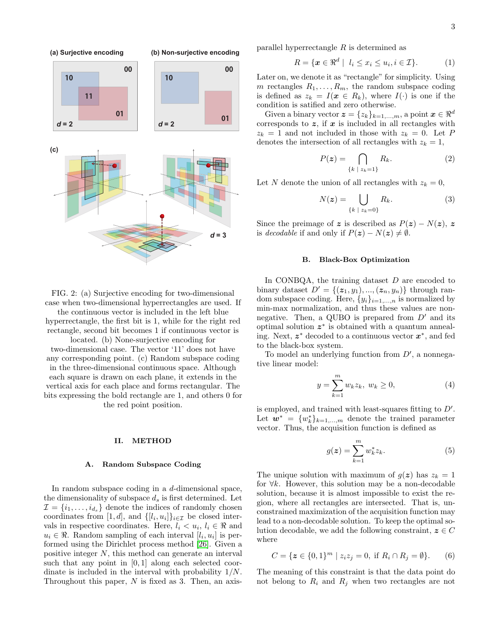<span id="page-2-0"></span>

parallel hyperrectangle R is determined as

$$
R = \{ \boldsymbol{x} \in \mathbb{R}^d \mid l_i \le x_i \le u_i, i \in \mathcal{I} \}. \tag{1}
$$

Later on, we denote it as "rectangle" for simplicity. Using m rectangles  $R_1, \ldots, R_m$ , the random subspace coding is defined as  $z_k = I(x \in R_k)$ , where  $I(\cdot)$  is one if the condition is satified and zero otherwise.

Given a binary vector  $\mathbf{z} = \{z_k\}_{k=1,\dots,m}$ , a point  $\mathbf{x} \in \mathbb{R}^d$ corresponds to  $z$ , if  $x$  is included in all rectangles with  $z_k = 1$  and not included in those with  $z_k = 0$ . Let P denotes the intersection of all rectangles with  $z_k = 1$ ,

$$
P(z) = \bigcap_{\{k \ |\ z_k = 1\}} R_k. \tag{2}
$$

Let N denote the union of all rectangles with  $z_k = 0$ ,

$$
N(z) = \bigcup_{\{k \ |\ z_k=0\}} R_k. \tag{3}
$$

Since the preimage of z is described as  $P(z) - N(z)$ , z is decodable if and only if  $P(z) - N(z) \neq \emptyset$ .

# B. Black-Box Optimization

In CONBQA, the training dataset  $D$  are encoded to binary dataset  $D' = \{(z_1, y_1), ..., (z_n, y_n)\}\)$  through random subspace coding. Here,  $\{y_i\}_{i=1,\dots,n}$  is normalized by min-max normalization, and thus these values are nonnegative. Then, a QUBO is prepared from  $D'$  and its optimal solution z ∗ is obtained with a quantum annealing. Next,  $z^*$  decoded to a continuous vector  $x^*$ , and fed

> to the black-box system. To model an underlying function from  $D'$ , a nonnegative linear model:

$$
y = \sum_{k=1}^{m} w_k z_k, \ w_k \ge 0,
$$
 (4)

is employed, and trained with least-squares fitting to  $D'$ . Let  $\mathbf{w}^* = \{w_k^*\}_{k=1,\dots,m}$  denote the trained parameter vector. Thus, the acquisition function is defined as

<span id="page-2-1"></span>
$$
g(z) = \sum_{k=1}^{m} w_k^* z_k.
$$
 (5)

The unique solution with maximum of  $g(z)$  has  $z_k = 1$ for  $\forall k$ . However, this solution may be a non-decodable solution, because it is almost impossible to exist the region, where all rectangles are intersected. That is, unconstrained maximization of the acquisition function may lead to a non-decodable solution. To keep the optimal solution decodable, we add the following constraint,  $z \in C$ where

<span id="page-2-2"></span>
$$
C = \{ \mathbf{z} \in \{0, 1\}^m \mid z_i z_j = 0, \text{ if } R_i \cap R_j = \emptyset \}. \tag{6}
$$

The meaning of this constraint is that the data point do not belong to  $R_i$  and  $R_j$  when two rectangles are not

FIG. 2: (a) Surjective encoding for two-dimensional case when two-dimensional hyperrectangles are used. If

the continuous vector is included in the left blue hyperrectangle, the first bit is 1, while for the right red rectangle, second bit becomes 1 if continuous vector is

located. (b) None-surjective encoding for two-dimensional case. The vector '11' does not have any corresponding point. (c) Random subspace coding in the three-dimensional continuous space. Although each square is drawn on each plane, it extends in the vertical axis for each place and forms rectangular. The bits expressing the bold rectangle are 1, and others 0 for the red point position.

# II. METHOD

# A. Random Subspace Coding

In random subspace coding in a d-dimensional space, the dimensionality of subspace  $d_s$  is first determined. Let  $\mathcal{I} = \{i_1, \ldots, i_{d_s}\}\$  denote the indices of randomly chosen coordinates from [1, d], and  $\{[l_i, u_i]\}_{i \in \mathcal{I}}$  be closed intervals in respective coordinates. Here,  $l_i < u_i, l_i \in \Re$  and  $u_i \in \mathbb{R}$ . Random sampling of each interval  $[l_i, u_i]$  is performed using the Dirichlet process method [\[26\]](#page-7-10). Given a positive integer N, this method can generate an interval such that any point in [0,1] along each selected coordinate is included in the interval with probability 1/N. Throughout this paper,  $N$  is fixed as 3. Then, an axis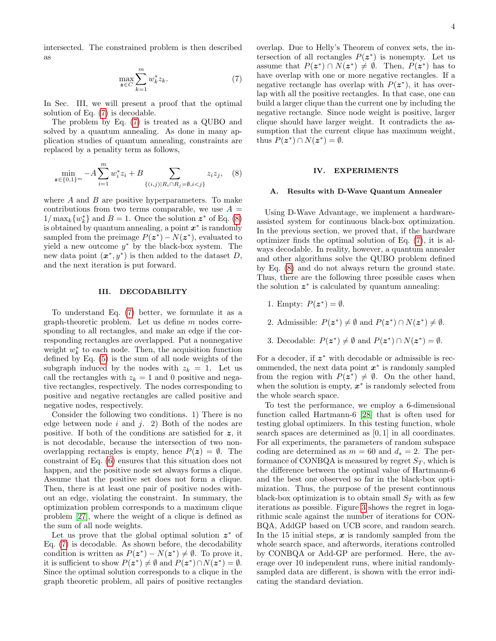intersected. The constrained problem is then described as

<span id="page-3-0"></span>
$$
\max_{\mathbf{z}\in C} \sum_{k=1}^{m} w_k^* z_k. \tag{7}
$$

In Sec. III, we will present a proof that the optimal solution of Eq. [\(7\)](#page-3-0) is decodable.

The problem by Eq. [\(7\)](#page-3-0) is treated as a QUBO and solved by a quantum annealing. As done in many application studies of quantum annealing, constraints are replaced by a penality term as follows,

<span id="page-3-1"></span>
$$
\min_{\mathbf{z}\in\{0,1\}^m} -A\sum_{i=1}^m w_i^* z_i + B\sum_{\{(i,j)|R_i\cap R_j=\emptyset, i
$$

where  $A$  and  $B$  are positive hyperparameters. To make contributions from two terms comparable, we use  $A =$  $1/\max_k \{w_k^*\}$  and  $B=1$ . Once the solution  $z^*$  of Eq. [\(8\)](#page-3-1) is obtained by quantum annealing, a point  $x^*$  is randomly sampled from the preimage  $P(z^*) - N(z^*)$ , evaluated to yield a new outcome  $y^*$  by the black-box system. The new data point  $(x^*, y^*)$  is then added to the dataset D, and the next iteration is put forward.

# III. DECODABILITY

To understand Eq. [\(7\)](#page-3-0) better, we formulate it as a graph-theoretic problem. Let us define m nodes corresponding to all rectangles, and make an edge if the corresponding rectangles are overlapped. Put a nonnegative weight  $w_k^*$  to each node. Then, the acquisition function defined by Eq. [\(5\)](#page-2-1) is the sum of all node weights of the subgraph induced by the nodes with  $z_k = 1$ . Let us call the rectangles with  $z_k = 1$  and 0 positive and negative rectangles, respectively. The nodes corresponding to positive and negative rectangles are called positive and negative nodes, respectively.

Consider the following two conditions. 1) There is no edge between node  $i$  and  $j$ . 2) Both of the nodes are positive. If both of the conditions are satisfied for z, it is not decodable, because the intersection of two nonoverlapping rectangles is empty, hence  $P(z) = \emptyset$ . The constraint of Eq. [\(6\)](#page-2-2) ensures that this situation does not happen, and the positive node set always forms a clique. Assume that the positive set does not form a clique. Then, there is at least one pair of positive nodes without an edge, violating the constraint. In summary, the optimization problem corresponds to a maximum clique problem [\[27\]](#page-7-11), where the weight of a clique is defined as the sum of all node weights.

Let us prove that the global optimal solution  $z^*$  of Eq. [\(7\)](#page-3-0) is decodable. As shown before, the decodability condition is written as  $P(z^*) - N(z^*) \neq \emptyset$ . To prove it, it is sufficient to show  $P(z^*) \neq \emptyset$  and  $P(z^*) \cap N(z^*) = \emptyset$ . Since the optimal solution corresponds to a clique in the graph theoretic problem, all pairs of positive rectangles overlap. Due to Helly's Theorem of convex sets, the intersection of all rectangles  $P(z^*)$  is nonempty. Let us assume that  $P(z^*) \cap N(z^*) \neq \emptyset$ . Then,  $P(z^*)$  has to have overlap with one or more negative rectangles. If a negative rectangle has overlap with  $P(z^*)$ , it has overlap with all the positive rectangles. In that case, one can build a larger clique than the current one by including the negative rectangle. Since node weight is positive, larger clique should have larger weight. It contradicts the assumption that the current clique has maximum weight, thus  $P(z^*) \cap N(z^*) = \emptyset$ .

#### IV. EXPERIMENTS

#### A. Results with D-Wave Quantum Annealer

Using D-Wave Advantage, we implement a hardwareassisted system for continuous black-box optimization. In the previous section, we proved that, if the hardware optimizer finds the optimal solution of Eq. [\(7\)](#page-3-0), it is always decodable. In reality, however, a quantum annealer and other algorithms solve the QUBO problem defined by Eq. [\(8\)](#page-3-1) and do not always return the ground state. Thus, there are the following three possible cases when the solution  $z^*$  is calculated by quantum annealing:

- 1. Empty:  $P(z^*) = \emptyset$ .
- 2. Admissible:  $P(z^*) \neq \emptyset$  and  $P(z^*) \cap N(z^*) \neq \emptyset$ .
- 3. Decodable:  $P(z^*) \neq \emptyset$  and  $P(z^*) \cap N(z^*) = \emptyset$ .

For a decoder, if  $z^*$  with decodable or admissible is recommended, the next data point  $x^*$  is randomly sampled from the region with  $P(z^*) \neq \emptyset$ . On the other hand, when the solution is empty,  $x^*$  is randomly selected from the whole search space.

To test the performance, we employ a 6-dimensional function called Hartmann-6 [\[28\]](#page-7-12) that is often used for testing global optimizers. In this testing function, whole search spaces are determined as [0, 1] in all coordinates. For all experiments, the parameters of random subspace coding are determined as  $m = 60$  and  $d_s = 2$ . The performance of CONBQA is measured by regret  $S_T$ , which is the difference between the optimal value of Hartmann-6 and the best one observed so far in the black-box optimization. Thus, the purpose of the present continuous black-box optimization is to obtain small  $S_T$  with as few iterations as possible. Figure [3](#page-4-0) shows the regret in logarithmic scale against the number of iterations for CON-BQA, AddGP based on UCB score, and random search. In the 15 initial steps,  $x$  is randomly sampled from the whole search space, and afterwords, iterations controlled by CONBQA or Add-GP are performed. Here, the average over 10 independent runs, where initial randomlysampled data are different, is shown with the error indicating the standard deviation.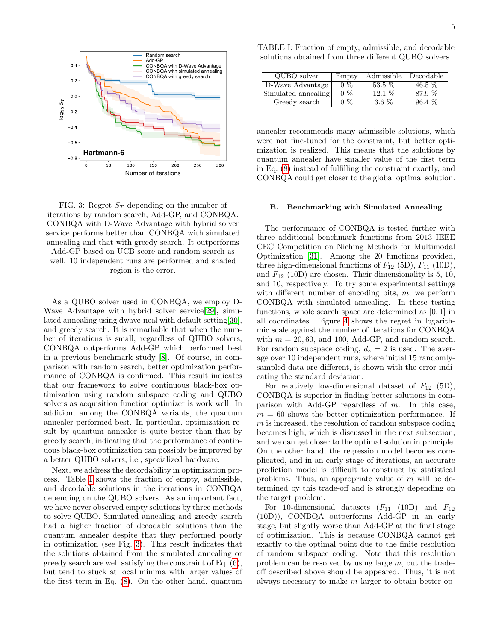<span id="page-4-0"></span>

FIG. 3: Regret  $S_T$  depending on the number of iterations by random search, Add-GP, and CONBQA. CONBQA with D-Wave Advantage with hybrid solver service performs better than CONBQA with simulated annealing and that with greedy search. It outperforms Add-GP based on UCB score and random search as well. 10 independent runs are performed and shaded region is the error.

As a QUBO solver used in CONBQA, we employ D-Wave Advantage with hybrid solver service[\[29\]](#page-7-13), simulated annealing using dwave-neal with default setting[\[30\]](#page-7-14), and greedy search. It is remarkable that when the number of iterations is small, regardless of QUBO solvers, CONBQA outperforms Add-GP which performed best in a previous benchmark study [\[8\]](#page-6-7). Of course, in comparison with random search, better optimization performance of CONBQA is confirmed. This result indicates that our framework to solve continuous black-box optimization using random subspace coding and QUBO solvers as acquisition function optimizer is work well. In addition, among the CONBQA variants, the quantum annealer performed best. In particular, optimization result by quantum annealer is quite better than that by greedy search, indicating that the performance of continuous black-box optimization can possibly be improved by a better QUBO solvers, i.e., specialized hardware.

Next, we address the decordability in optimization process. Table [I](#page-4-1) shows the fraction of empty, admissible, and decodable solutions in the iterations in CONBQA depending on the QUBO solvers. As an important fact, we have never observed empty solutions by three methods to solve QUBO. Simulated annealing and greedy search had a higher fraction of decodable solutions than the quantum annealer despite that they performed poorly in optimization (see Fig. [3\)](#page-4-0). This result indicates that the solutions obtained from the simulated annealing or greedy search are well satisfying the constraint of Eq. [\(6\)](#page-2-2), but tend to stuck at local minima with larger values of the first term in Eq. [\(8\)](#page-3-1). On the other hand, quantum

<span id="page-4-1"></span>TABLE I: Fraction of empty, admissible, and decodable solutions obtained from three different QUBO solvers.

| QUBO solver         | Empty | Admissible | Decodable |
|---------------------|-------|------------|-----------|
| D-Wave Advantage    | $0\%$ | $53.5\%$   | $46.5\%$  |
| Simulated annealing | $0\%$ | $12.1\%$   | 87.9 %    |
| Greedy search       | $0\%$ | 3.6 $%$    | $96.4\%$  |

annealer recommends many admissible solutions, which were not fine-tuned for the constraint, but better optimization is realized. This means that the solutions by quantum annealer have smaller value of the first term in Eq. [\(8\)](#page-3-1) instead of fulfilling the constraint exactly, and CONBQA could get closer to the global optimal solution.

### B. Benchmarking with Simulated Annealing

The performance of CONBQA is tested further with three additional benchmark functions from 2013 IEEE CEC Competition on Niching Methods for Multimodal Optimization [\[31\]](#page-7-15). Among the 20 functions provided, three high-dimensional functions of  $F_{12}$  (5D),  $F_{11}$  (10D), and  $F_{12}$  (10D) are chosen. Their dimensionality is 5, 10, and 10, respectively. To try some experimental settings with different number of encoding bits,  $m$ , we perform CONBQA with simulated annealing. In these testing functions, whole search space are determined as [0, 1] in all coordinates. Figure [4](#page-5-0) shows the regret in logarithmic scale against the number of iterations for CONBQA with  $m = 20, 60$ , and 100, Add-GP, and random search. For random subspace coding,  $d_s = 2$  is used. The average over 10 independent runs, where initial 15 randomlysampled data are different, is shown with the error indicating the standard deviation.

For relatively low-dimensional dataset of  $F_{12}$  (5D), CONBQA is superior in finding better solutions in comparison with Add-GP regardless of  $m$ . In this case,  $m = 60$  shows the better optimization performance. If  $m$  is increased, the resolution of random subspace coding becomes high, which is discussed in the next subsection, and we can get closer to the optimal solution in principle. On the other hand, the regression model becomes complicated, and in an early stage of iterations, an accurate prediction model is difficult to construct by statistical problems. Thus, an appropriate value of m will be determined by this trade-off and is strongly depending on the target problem.

For 10-dimensional datasets  $(F_{11} \quad (10D)$  and  $F_{12}$ (10D)), CONBQA outperforms Add-GP in an early stage, but slightly worse than Add-GP at the final stage of optimization. This is because CONBQA cannot get exactly to the optimal point due to the finite resolution of random subspace coding. Note that this resolution problem can be resolved by using large m, but the tradeoff described above should be appeared. Thus, it is not always necessary to make m larger to obtain better op-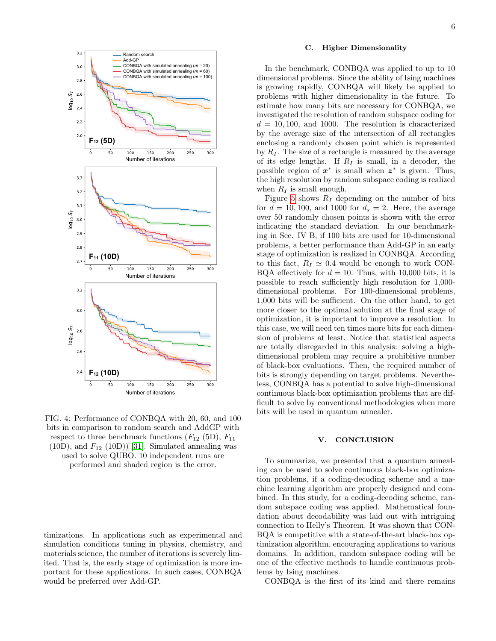<span id="page-5-0"></span>

FIG. 4: Performance of CONBQA with 20, 60, and 100 bits in comparison to random search and AddGP with respect to three benchmark functions  $(F_{12}$  (5D),  $F_{11}$  $(10D)$ , and  $F_{12}$  (10D)) [\[31\]](#page-7-15). Simulated annealing was used to solve QUBO. 10 independent runs are performed and shaded region is the error.

timizations. In applications such as experimental and simulation conditions tuning in physics, chemistry, and materials science, the number of iterations is severely limited. That is, the early stage of optimization is more important for these applications. In such cases, CONBQA would be preferred over Add-GP.

# C. Higher Dimensionality

In the benchmark, CONBQA was applied to up to 10 dimensional problems. Since the ability of Ising machines is growing rapidly, CONBQA will likely be applied to problems with higher dimensionality in the future. To estimate how many bits are necessary for CONBQA, we investigated the resolution of random subspace coding for  $d = 10, 100,$  and 1000. The resolution is characterized by the average size of the intersection of all rectangles enclosing a randomly chosen point which is represented by  $R_I$ . The size of a rectangle is measured by the average of its edge lengths. If  $R_I$  is small, in a decoder, the possible region of  $x^*$  is small when  $z^*$  is given. Thus, the high resolution by random subspace coding is realized when  $R_I$  is small enough.

Figure [5](#page-6-15) shows  $R_I$  depending on the number of bits for  $d = 10, 100$ , and 1000 for  $d_s = 2$ . Here, the average over 50 randomly chosen points is shown with the error indicating the standard deviation. In our benchmarking in Sec. IV B, if 100 bits are used for 10-dimensional problems, a better performance than Add-GP in an early stage of optimization is realized in CONBQA. According to this fact,  $R_I \simeq 0.4$  would be enough to work CON-BQA effectively for  $d = 10$ . Thus, with 10,000 bits, it is possible to reach sufficiently high resolution for 1,000 dimensional problems. For 100-dimensional problems, 1,000 bits will be sufficient. On the other hand, to get more closer to the optimal solution at the final stage of optimization, it is important to improve a resolution. In this case, we will need ten times more bits for each dimension of problems at least. Notice that statistical aspects are totally disregarded in this analysis: solving a highdimensional problem may require a prohibitive number of black-box evaluations. Then, the required number of bits is strongly depending on target problems. Nevertheless, CONBQA has a potential to solve high-dimensional continuous black-box optimization problems that are difficult to solve by conventional methodologies when more bits will be used in quantum annealer.

# V. CONCLUSION

To summarize, we presented that a quantum annealing can be used to solve continuous black-box optimization problems, if a coding-decoding scheme and a machine learning algorithm are properly designed and combined. In this study, for a coding-decoding scheme, random subspace coding was applied. Mathematical foundation about decodability was laid out with intriguing connection to Helly's Theorem. It was shown that CON-BQA is competitive with a state-of-the-art black-box optimization algorithm, encouraging applications to various domains. In addition, random subspace coding will be one of the effective methods to handle continuous problems by Ising machines.

CONBQA is the first of its kind and there remains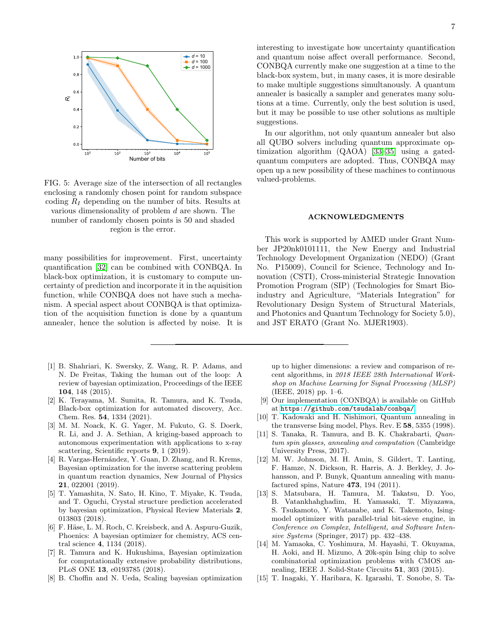<span id="page-6-15"></span>

FIG. 5: Average size of the intersection of all rectangles enclosing a randomly chosen point for random subspace coding  $R_I$  depending on the number of bits. Results at various dimensionality of problem d are shown. The number of randomly chosen points is 50 and shaded region is the error.

many possibilities for improvement. First, uncertainty quantification [\[32\]](#page-7-16) can be combined with CONBQA. In black-box optimization, it is customary to compute uncertainty of prediction and incorporate it in the aquisition function, while CONBQA does not have such a mechanism. A special aspect about CONBQA is that optimization of the acquisition function is done by a quantum annealer, hence the solution is affected by noise. It is

- <span id="page-6-0"></span>[1] B. Shahriari, K. Swersky, Z. Wang, R. P. Adams, and N. De Freitas, Taking the human out of the loop: A review of bayesian optimization, Proceedings of the IEEE 104, 148 (2015).
- <span id="page-6-1"></span>[2] K. Terayama, M. Sumita, R. Tamura, and K. Tsuda, Black-box optimization for automated discovery, Acc. Chem. Res. 54, 1334 (2021).
- <span id="page-6-2"></span>[3] M. M. Noack, K. G. Yager, M. Fukuto, G. S. Doerk, R. Li, and J. A. Sethian, A kriging-based approach to autonomous experimentation with applications to x-ray scattering, Scientific reports 9, 1 (2019).
- <span id="page-6-3"></span>[4] R. Vargas-Hernández, Y. Guan, D. Zhang, and R. Krems, Bayesian optimization for the inverse scattering problem in quantum reaction dynamics, New Journal of Physics 21, 022001 (2019).
- <span id="page-6-4"></span>[5] T. Yamashita, N. Sato, H. Kino, T. Miyake, K. Tsuda, and T. Oguchi, Crystal structure prediction accelerated by bayesian optimization, Physical Review Materials 2, 013803 (2018).
- <span id="page-6-5"></span>[6] F. Häse, L. M. Roch, C. Kreisbeck, and A. Aspuru-Guzik, Phoenics: A bayesian optimizer for chemistry, ACS central science 4, 1134 (2018).
- <span id="page-6-6"></span>[7] R. Tamura and K. Hukushima, Bayesian optimization for computationally extensive probability distributions, PLoS ONE 13, e0193785 (2018).
- <span id="page-6-7"></span>[8] B. Choffin and N. Ueda, Scaling bayesian optimization

interesting to investigate how uncertainty quantification and quantum noise affect overall performance. Second, CONBQA currently make one suggestion at a time to the black-box system, but, in many cases, it is more desirable to make multiple suggestions simultanously. A quantum annealer is basically a sampler and generates many solutions at a time. Currently, only the best solution is used, but it may be possible to use other solutions as multiple suggestions.

In our algorithm, not only quantum annealer but also all QUBO solvers including quantum approximate optimization algorithm (QAOA) [\[33–](#page-7-17)[35\]](#page-7-18) using a gatedquantum computers are adopted. Thus, CONBQA may open up a new possibility of these machines to continuous valued-problems.

# ACKNOWLEDGMENTS

This work is supported by AMED under Grant Number JP20nk0101111, the New Energy and Industrial Technology Development Organization (NEDO) (Grant No. P15009), Council for Science, Technology and Innovation (CSTI), Cross-ministerial Strategic Innovation Promotion Program (SIP) (Technologies for Smart Bioindustry and Agriculture, "Materials Integration" for Revolutionary Design System of Structural Materials, and Photonics and Quantum Technology for Society 5.0), and JST ERATO (Grant No. MJER1903).

up to higher dimensions: a review and comparison of recent algorithms, in 2018 IEEE 28th International Workshop on Machine Learning for Signal Processing (MLSP) (IEEE, 2018) pp. 1–6.

- <span id="page-6-8"></span>[9] Our implementation (CONBQA) is available on GitHub at <https://github.com/tsudalab/conbqa/>.
- <span id="page-6-9"></span>[10] T. Kadowaki and H. Nishimori, Quantum annealing in the transverse Ising model, Phys. Rev. E 58, 5355 (1998).
- <span id="page-6-10"></span>[11] S. Tanaka, R. Tamura, and B. K. Chakrabarti, Quantum spin glasses, annealing and computation (Cambridge University Press, 2017).
- <span id="page-6-11"></span>[12] M. W. Johnson, M. H. Amin, S. Gildert, T. Lanting, F. Hamze, N. Dickson, R. Harris, A. J. Berkley, J. Johansson, and P. Bunyk, Quantum annealing with manufactured spins, Nature 473, 194 (2011).
- <span id="page-6-12"></span>[13] S. Matsubara, H. Tamura, M. Takatsu, D. Yoo, B. Vatankhahghadim, H. Yamasaki, T. Miyazawa, S. Tsukamoto, Y. Watanabe, and K. Takemoto, Isingmodel optimizer with parallel-trial bit-sieve engine, in Conference on Complex, Intelligent, and Software Intensive Systems (Springer, 2017) pp. 432–438.
- <span id="page-6-13"></span>[14] M. Yamaoka, C. Yoshimura, M. Hayashi, T. Okuyama, H. Aoki, and H. Mizuno, A 20k-spin Ising chip to solve combinatorial optimization problems with CMOS annealing, IEEE J. Solid-State Circuits 51, 303 (2015).
- <span id="page-6-14"></span>[15] T. Inagaki, Y. Haribara, K. Igarashi, T. Sonobe, S. Ta-